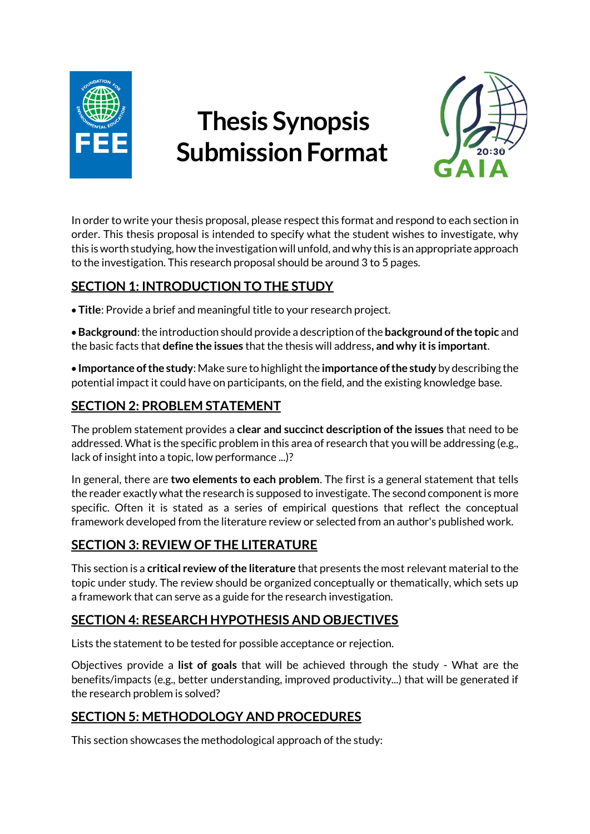

# **Thesis Synopsis Submission Format**



In order to write your thesis proposal, please respect this format and respond to each section in order. This thesis proposal is intended to specify what the student wishes to investigate, why this is worth studying, how the investigation will unfold, and why this is an appropriate approach to the investigation. This research proposal should be around 3 to 5 pages.

# **SECTION 1: INTRODUCTION TO THE STUDY**

• **Title**: Provide a brief and meaningful title to your research project.

•**Background**: the introduction should provide a description ofthe **background of the topic** and the basic facts that **define the issues** that the thesis will address**, and why it is important**.

• **Importance of the study**: Make sure to highlight the **importance of the study** by describing the potential impact it could have on participants, on the field, and the existing knowledge base.

#### **SECTION 2: PROBLEM STATEMENT**

The problem statement provides a **clear and succinct description of the issues** that need to be addressed. What is the specific problem in this area of research that you will be addressing (e.g., lack of insight into a topic, low performance ...)?

In general, there are **two elements to each problem**. The first is a general statement that tells the reader exactly what the research is supposed to investigate. The second component is more specific. Often it is stated as a series of empirical questions that reflect the conceptual framework developed from the literature review or selected from an author's published work.

# **SECTION 3: REVIEW OF THE LITERATURE**

This section is a **critical review of the literature** that presents the most relevant material to the topic under study. The review should be organized conceptually or thematically, which sets up a framework that can serve as a guide for the research investigation.

# **SECTION 4: RESEARCH HYPOTHESIS AND OBJECTIVES**

Lists the statement to be tested for possible acceptance or rejection.

Objectives provide a **list of goals** that will be achieved through the study - What are the benefits/impacts (e.g., better understanding, improved productivity...) that will be generated if the research problem is solved?

# **SECTION 5: METHODOLOGY AND PROCEDURES**

This section showcases the methodological approach of the study: